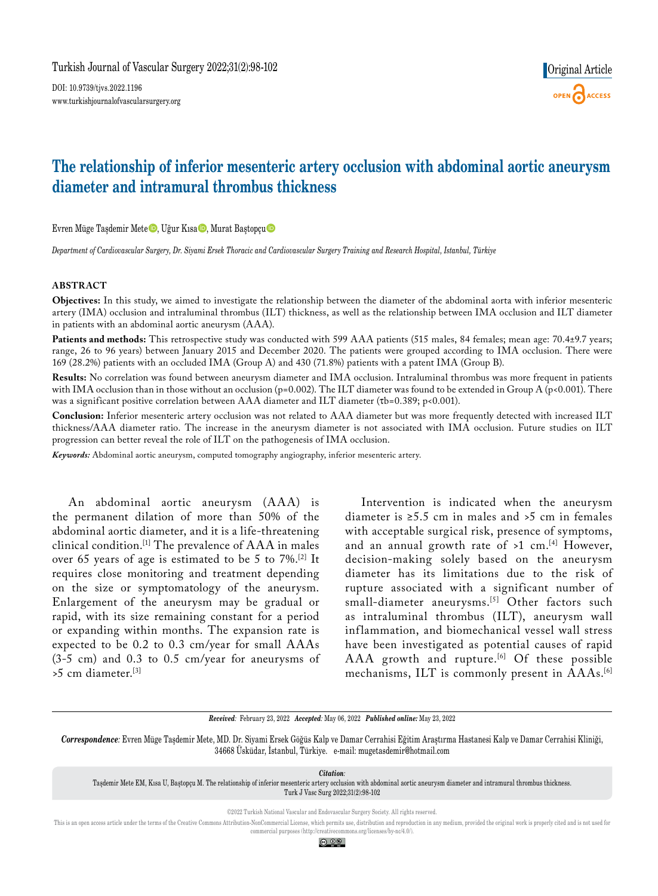DOI: 10.9739/tjvs.2022.1196 www.turkishjournalofvascularsurgery.org

# **The relationship of inferior mesenteric artery occlusion with abdominal aortic aneurysm diameter and intramural thrombus thickness**

Evren Müge Taşdemir Mete D, Uğur Kısa D, Murat Baştopçu

*Department of Cardiovascular Surgery, Dr. Siyami Ersek Thoracic and Cardiovascular Surgery Training and Research Hospital, Istanbul, Türkiye*

### **ABSTRACT**

**Objectives:** In this study, we aimed to investigate the relationship between the diameter of the abdominal aorta with inferior mesenteric artery (IMA) occlusion and intraluminal thrombus (ILT) thickness, as well as the relationship between IMA occlusion and ILT diameter in patients with an abdominal aortic aneurysm (AAA).

Patients and methods: This retrospective study was conducted with 599 AAA patients (515 males, 84 females; mean age: 70.4±9.7 years; range, 26 to 96 years) between January 2015 and December 2020. The patients were grouped according to IMA occlusion. There were 169 (28.2%) patients with an occluded IMA (Group A) and 430 (71.8%) patients with a patent IMA (Group B).

**Results:** No correlation was found between aneurysm diameter and IMA occlusion. Intraluminal thrombus was more frequent in patients with IMA occlusion than in those without an occlusion (p=0.002). The ILT diameter was found to be extended in Group A (p<0.001). There was a significant positive correlation between AAA diameter and ILT diameter ( $\tau$ b=0.389; p<0.001).

**Conclusion:** Inferior mesenteric artery occlusion was not related to AAA diameter but was more frequently detected with increased ILT thickness/AAA diameter ratio. The increase in the aneurysm diameter is not associated with IMA occlusion. Future studies on ILT progression can better reveal the role of ILT on the pathogenesis of IMA occlusion.

*Keywords:* Abdominal aortic aneurysm, computed tomography angiography, inferior mesenteric artery.

An abdominal aortic aneurysm (AAA) is the permanent dilation of more than 50% of the abdominal aortic diameter, and it is a life-threatening clinical condition.[1] The prevalence of AAA in males over 65 years of age is estimated to be 5 to 7%.[2] It requires close monitoring and treatment depending on the size or symptomatology of the aneurysm. Enlargement of the aneurysm may be gradual or rapid, with its size remaining constant for a period or expanding within months. The expansion rate is expected to be 0.2 to 0.3 cm/year for small AAAs (3-5 cm) and 0.3 to 0.5 cm/year for aneurysms of >5 cm diameter.[3]

Intervention is indicated when the aneurysm diameter is  $\ge 5.5$  cm in males and  $\ge 5$  cm in females with acceptable surgical risk, presence of symptoms, and an annual growth rate of  $>1$  cm.<sup>[4]</sup> However, decision-making solely based on the aneurysm diameter has its limitations due to the risk of rupture associated with a significant number of small-diameter aneurysms.<sup>[5]</sup> Other factors such as intraluminal thrombus (ILT), aneurysm wall inflammation, and biomechanical vessel wall stress have been investigated as potential causes of rapid AAA growth and rupture.<sup>[6]</sup> Of these possible mechanisms, ILT is commonly present in AAAs.[6]

*Received:* February 23, 2022 *Accepted:* May 06, 2022 *Published online:* May 23, 2022

*Citation:* Taşdemir Mete EM, Kısa U, Baştopçu M. The relationship of inferior mesenteric artery occlusion with abdominal aortic aneurysm diameter and intramural thrombus thickness. Turk J Vasc Surg 2022;31(2):98-102

©2022 Turkish National Vascular and Endovascular Surgery Society. All rights reserved.

This is an open access article under the terms of the Creative Commons Attribution-NonCommercial License, which permits use, distribution and reproduction in any medium, provided the original work is properly cited and is commercial purposes (http://creativecommons.org/licenses/by-nc/4.0/).

<u>ම ⊙ෙ</u>

*Correspondence:* Evren Müge Taşdemir Mete, MD. Dr. Siyami Ersek Göğüs Kalp ve Damar Cerrahisi Eğitim Araştırma Hastanesi Kalp ve Damar Cerrahisi Kliniği, 34668 Üsküdar, İstanbul, Türkiye. e-mail: mugetasdemir@hotmail.com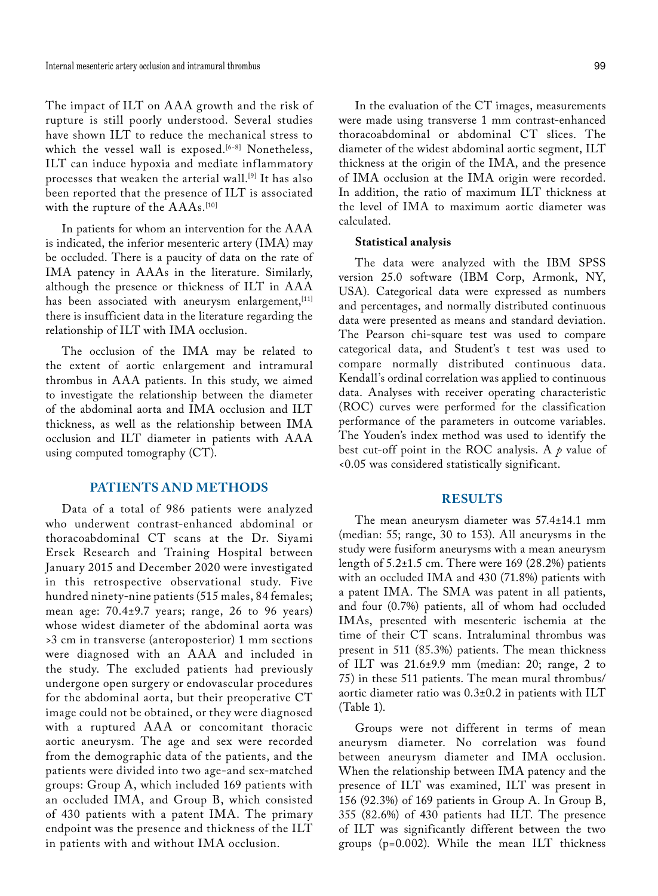The impact of ILT on AAA growth and the risk of rupture is still poorly understood. Several studies have shown ILT to reduce the mechanical stress to which the vessel wall is exposed.<sup>[6-8]</sup> Nonetheless, ILT can induce hypoxia and mediate inflammatory processes that weaken the arterial wall.[9] It has also been reported that the presence of ILT is associated with the rupture of the AAAs.<sup>[10]</sup>

In patients for whom an intervention for the AAA is indicated, the inferior mesenteric artery (IMA) may be occluded. There is a paucity of data on the rate of IMA patency in AAAs in the literature. Similarly, although the presence or thickness of ILT in AAA has been associated with aneurysm enlargement, [11] there is insufficient data in the literature regarding the relationship of ILT with IMA occlusion.

The occlusion of the IMA may be related to the extent of aortic enlargement and intramural thrombus in AAA patients. In this study, we aimed to investigate the relationship between the diameter of the abdominal aorta and IMA occlusion and ILT thickness, as well as the relationship between IMA occlusion and ILT diameter in patients with AAA using computed tomography (CT).

# **PATIENTS AND METHODS**

Data of a total of 986 patients were analyzed who underwent contrast-enhanced abdominal or thoracoabdominal CT scans at the Dr. Siyami Ersek Research and Training Hospital between January 2015 and December 2020 were investigated in this retrospective observational study. Five hundred ninety-nine patients (515 males, 84 females; mean age: 70.4±9.7 years; range, 26 to 96 years) whose widest diameter of the abdominal aorta was >3 cm in transverse (anteroposterior) 1 mm sections were diagnosed with an AAA and included in the study. The excluded patients had previously undergone open surgery or endovascular procedures for the abdominal aorta, but their preoperative CT image could not be obtained, or they were diagnosed with a ruptured AAA or concomitant thoracic aortic aneurysm. The age and sex were recorded from the demographic data of the patients, and the patients were divided into two age-and sex-matched groups: Group A, which included 169 patients with an occluded IMA, and Group B, which consisted of 430 patients with a patent IMA. The primary endpoint was the presence and thickness of the ILT in patients with and without IMA occlusion.

In the evaluation of the CT images, measurements were made using transverse 1 mm contrast-enhanced

thoracoabdominal or abdominal CT slices. The diameter of the widest abdominal aortic segment, ILT thickness at the origin of the IMA, and the presence of IMA occlusion at the IMA origin were recorded. In addition, the ratio of maximum ILT thickness at the level of IMA to maximum aortic diameter was calculated.

#### **Statistical analysis**

The data were analyzed with the IBM SPSS version 25.0 software (IBM Corp, Armonk, NY, USA). Categorical data were expressed as numbers and percentages, and normally distributed continuous data were presented as means and standard deviation. The Pearson chi-square test was used to compare categorical data, and Student's t test was used to compare normally distributed continuous data. Kendall's ordinal correlation was applied to continuous data. Analyses with receiver operating characteristic (ROC) curves were performed for the classification performance of the parameters in outcome variables. The Youden's index method was used to identify the best cut-off point in the ROC analysis. A *p* value of <0.05 was considered statistically significant.

#### **RESULTS**

The mean aneurysm diameter was 57.4±14.1 mm (median: 55; range, 30 to 153). All aneurysms in the study were fusiform aneurysms with a mean aneurysm length of  $5.2\pm1.5$  cm. There were 169 (28.2%) patients with an occluded IMA and 430 (71.8%) patients with a patent IMA. The SMA was patent in all patients, and four (0.7%) patients, all of whom had occluded IMAs, presented with mesenteric ischemia at the time of their CT scans. Intraluminal thrombus was present in 511 (85.3%) patients. The mean thickness of ILT was 21.6±9.9 mm (median: 20; range, 2 to 75) in these 511 patients. The mean mural thrombus/ aortic diameter ratio was 0.3±0.2 in patients with ILT (Table 1).

Groups were not different in terms of mean aneurysm diameter. No correlation was found between aneurysm diameter and IMA occlusion. When the relationship between IMA patency and the presence of ILT was examined, ILT was present in 156 (92.3%) of 169 patients in Group A. In Group B, 355 (82.6%) of 430 patients had ILT. The presence of ILT was significantly different between the two groups (p=0.002). While the mean ILT thickness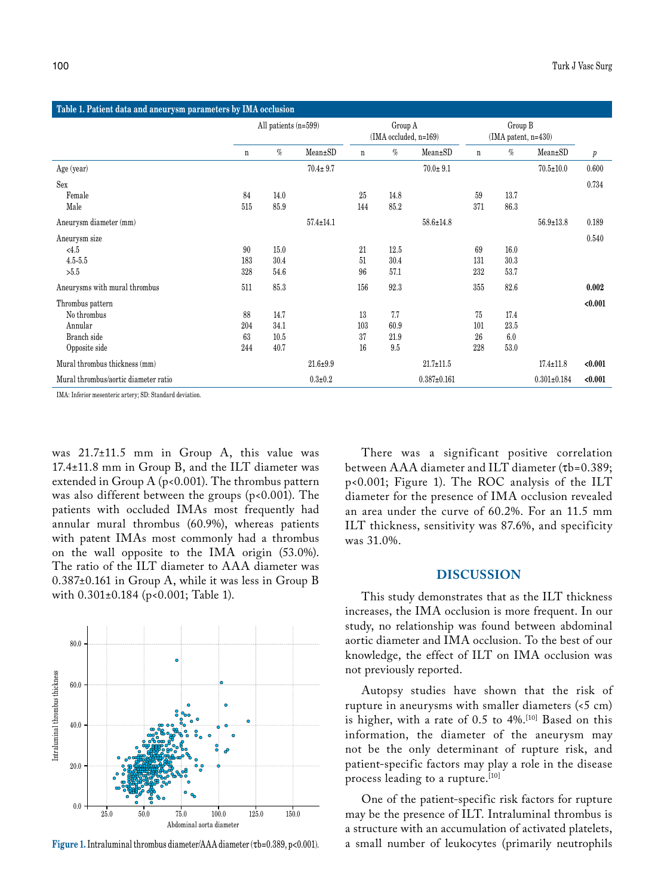| Table 1. Patient data and aneurysm parameters by IMA occlusion |                      |      |                 |                                  |      |                   |                                  |      |                   |                  |
|----------------------------------------------------------------|----------------------|------|-----------------|----------------------------------|------|-------------------|----------------------------------|------|-------------------|------------------|
|                                                                | All patients (n=599) |      |                 | Group A<br>(IMA occluded, n=169) |      |                   | Group B<br>$(IMA patent, n=430)$ |      |                   |                  |
|                                                                | n                    | $\%$ | Mean±SD         | $\mathbf n$                      | $\%$ | Mean±SD           | $\mathbf n$                      | $\%$ | $Mean \pm SD$     | $\boldsymbol{p}$ |
| Age (year)                                                     |                      |      | $70.4 \pm 9.7$  |                                  |      | $70.0 \pm 9.1$    |                                  |      | $70.5 \pm 10.0$   | 0.600            |
| Sex                                                            |                      |      |                 |                                  |      |                   |                                  |      |                   | 0.734            |
| Female                                                         | 84                   | 14.0 |                 | 25                               | 14.8 |                   | 59                               | 13.7 |                   |                  |
| Male                                                           | 515                  | 85.9 |                 | 144                              | 85.2 |                   | 371                              | 86.3 |                   |                  |
| Aneurysm diameter (mm)                                         |                      |      | $57.4 \pm 14.1$ |                                  |      | $58.6 \pm 14.8$   |                                  |      | $56.9 \pm 13.8$   | 0.189            |
| Aneurysm size                                                  |                      |      |                 |                                  |      |                   |                                  |      |                   | 0.540            |
| < 4.5                                                          | 90                   | 15.0 |                 | 21                               | 12.5 |                   | 69                               | 16.0 |                   |                  |
| $4.5 - 5.5$                                                    | 183                  | 30.4 |                 | 51                               | 30.4 |                   | 131                              | 30.3 |                   |                  |
| >5.5                                                           | 328                  | 54.6 |                 | 96                               | 57.1 |                   | 232                              | 53.7 |                   |                  |
| Aneurysms with mural thrombus                                  | 511                  | 85.3 |                 | 156                              | 92.3 |                   | 355                              | 82.6 |                   | 0.002            |
| Thrombus pattern                                               |                      |      |                 |                                  |      |                   |                                  |      |                   | < 0.001          |
| No thrombus                                                    | 88                   | 14.7 |                 | 13                               | 7.7  |                   | 75                               | 17.4 |                   |                  |
| Annular                                                        | 204                  | 34.1 |                 | 103                              | 60.9 |                   | 101                              | 23.5 |                   |                  |
| Branch side                                                    | 63                   | 10.5 |                 | 37                               | 21.9 |                   | 26                               | 6.0  |                   |                  |
| Opposite side                                                  | 244                  | 40.7 |                 | 16                               | 9.5  |                   | 228                              | 53.0 |                   |                  |
| Mural thrombus thickness (mm)                                  |                      |      | $21.6 + 9.9$    |                                  |      | $21.7 \pm 11.5$   |                                  |      | $17.4 \pm 11.8$   | < 0.001          |
| Mural thrombus/aortic diameter ratio                           |                      |      | $0.3 + 0.2$     |                                  |      | $0.387 \pm 0.161$ |                                  |      | $0.301 \pm 0.184$ | < 0.001          |

IMA: Inferior mesenteric artery; SD: Standard deviation.

was 21.7±11.5 mm in Group A, this value was 17.4±11.8 mm in Group B, and the ILT diameter was extended in Group A ( $p$ <0.001). The thrombus pattern was also different between the groups ( $p$ <0.001). The patients with occluded IMAs most frequently had annular mural thrombus (60.9%), whereas patients with patent IMAs most commonly had a thrombus on the wall opposite to the IMA origin (53.0%). The ratio of the ILT diameter to AAA diameter was 0.387±0.161 in Group A, while it was less in Group B with 0.301±0.184 (p<0.001; Table 1).



There was a significant positive correlation between AAA diameter and ILT diameter (tb=0.389; p<0.001; Figure 1). The ROC analysis of the ILT diameter for the presence of IMA occlusion revealed an area under the curve of 60.2%. For an 11.5 mm ILT thickness, sensitivity was 87.6%, and specificity was 31.0%.

# **DISCUSSION**

This study demonstrates that as the ILT thickness increases, the IMA occlusion is more frequent. In our study, no relationship was found between abdominal aortic diameter and IMA occlusion. To the best of our knowledge, the effect of ILT on IMA occlusion was not previously reported.

Autopsy studies have shown that the risk of rupture in aneurysms with smaller diameters (<5 cm) is higher, with a rate of 0.5 to 4%.[10] Based on this information, the diameter of the aneurysm may not be the only determinant of rupture risk, and patient-specific factors may play a role in the disease process leading to a rupture.<sup>[10]</sup>

One of the patient-specific risk factors for rupture may be the presence of ILT. Intraluminal thrombus is a structure with an accumulation of activated platelets, **Figure 1.** Intraluminal thrombus diameter/AAA diameter (tb=0.389, p<0.001). a small number of leukocytes (primarily neutrophils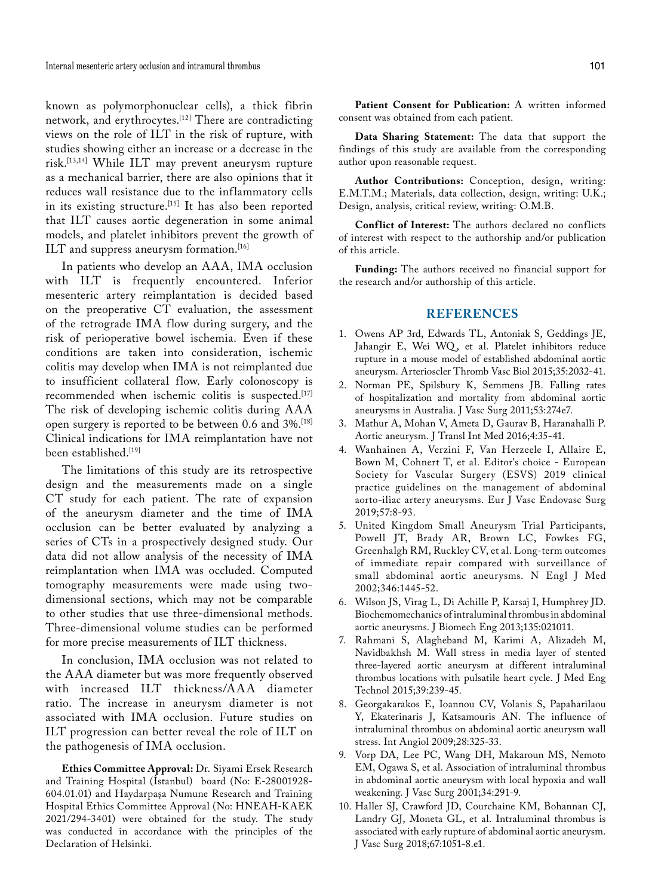known as polymorphonuclear cells), a thick fibrin network, and erythrocytes.[12] There are contradicting views on the role of ILT in the risk of rupture, with studies showing either an increase or a decrease in the risk.[13,14] While ILT may prevent aneurysm rupture as a mechanical barrier, there are also opinions that it reduces wall resistance due to the inflammatory cells in its existing structure.<sup>[15]</sup> It has also been reported that ILT causes aortic degeneration in some animal models, and platelet inhibitors prevent the growth of ILT and suppress aneurysm formation.<sup>[16]</sup>

In patients who develop an AAA, IMA occlusion with ILT is frequently encountered. Inferior mesenteric artery reimplantation is decided based on the preoperative CT evaluation, the assessment of the retrograde IMA flow during surgery, and the risk of perioperative bowel ischemia. Even if these conditions are taken into consideration, ischemic colitis may develop when IMA is not reimplanted due to insufficient collateral flow. Early colonoscopy is recommended when ischemic colitis is suspected.[17] The risk of developing ischemic colitis during AAA open surgery is reported to be between 0.6 and 3%.[18] Clinical indications for IMA reimplantation have not been established.<sup>[19]</sup>

The limitations of this study are its retrospective design and the measurements made on a single CT study for each patient. The rate of expansion of the aneurysm diameter and the time of IMA occlusion can be better evaluated by analyzing a series of CTs in a prospectively designed study. Our data did not allow analysis of the necessity of IMA reimplantation when IMA was occluded. Computed tomography measurements were made using twodimensional sections, which may not be comparable to other studies that use three-dimensional methods. Three-dimensional volume studies can be performed for more precise measurements of ILT thickness.

In conclusion, IMA occlusion was not related to the AAA diameter but was more frequently observed with increased ILT thickness/AAA diameter ratio. The increase in aneurysm diameter is not associated with IMA occlusion. Future studies on ILT progression can better reveal the role of ILT on the pathogenesis of IMA occlusion.

**Ethics Committee Approval:** Dr. Siyami Ersek Research and Training Hospital (İstanbul) board (No: E-28001928- 604.01.01) and Haydarpaşa Numune Research and Training Hospital Ethics Committee Approval (No: HNEAH-KAEK 2021/294-3401) were obtained for the study. The study was conducted in accordance with the principles of the Declaration of Helsinki.

**Patient Consent for Publication:** A written informed consent was obtained from each patient.

**Data Sharing Statement:** The data that support the findings of this study are available from the corresponding author upon reasonable request.

**Author Contributions:** Conception, design, writing: E.M.T.M.; Materials, data collection, design, writing: U.K.; Design, analysis, critical review, writing: O.M.B.

**Conflict of Interest:** The authors declared no conflicts of interest with respect to the authorship and/or publication of this article.

**Funding:** The authors received no financial support for the research and/or authorship of this article.

# **REFERENCES**

- 1. Owens AP 3rd, Edwards TL, Antoniak S, Geddings JE, Jahangir E, Wei WQ, et al. Platelet inhibitors reduce rupture in a mouse model of established abdominal aortic aneurysm. Arterioscler Thromb Vasc Biol 2015;35:2032-41.
- 2. Norman PE, Spilsbury K, Semmens JB. Falling rates of hospitalization and mortality from abdominal aortic aneurysms in Australia. J Vasc Surg 2011;53:274e7.
- 3. Mathur A, Mohan V, Ameta D, Gaurav B, Haranahalli P. Aortic aneurysm. J Transl Int Med 2016;4:35-41.
- 4. Wanhainen A, Verzini F, Van Herzeele I, Allaire E, Bown M, Cohnert T, et al. Editor's choice - European Society for Vascular Surgery (ESVS) 2019 clinical practice guidelines on the management of abdominal aorto-iliac artery aneurysms. Eur J Vasc Endovasc Surg 2019;57:8-93.
- 5. United Kingdom Small Aneurysm Trial Participants, Powell JT, Brady AR, Brown LC, Fowkes FG, Greenhalgh RM, Ruckley CV, et al. Long-term outcomes of immediate repair compared with surveillance of small abdominal aortic aneurysms. N Engl J Med 2002;346:1445-52.
- 6. Wilson JS, Virag L, Di Achille P, Karsaj I, Humphrey JD. Biochemomechanics of intraluminal thrombus in abdominal aortic aneurysms. J Biomech Eng 2013;135:021011.
- 7. Rahmani S, Alagheband M, Karimi A, Alizadeh M, Navidbakhsh M. Wall stress in media layer of stented three-layered aortic aneurysm at different intraluminal thrombus locations with pulsatile heart cycle. J Med Eng Technol 2015;39:239-45.
- 8. Georgakarakos E, Ioannou CV, Volanis S, Papaharilaou Y, Ekaterinaris J, Katsamouris AN. The influence of intraluminal thrombus on abdominal aortic aneurysm wall stress. Int Angiol 2009;28:325-33.
- 9. Vorp DA, Lee PC, Wang DH, Makaroun MS, Nemoto EM, Ogawa S, et al. Association of intraluminal thrombus in abdominal aortic aneurysm with local hypoxia and wall weakening. J Vasc Surg 2001;34:291-9.
- 10. Haller SJ, Crawford JD, Courchaine KM, Bohannan CJ, Landry GJ, Moneta GL, et al. Intraluminal thrombus is associated with early rupture of abdominal aortic aneurysm. J Vasc Surg 2018;67:1051-8.e1.